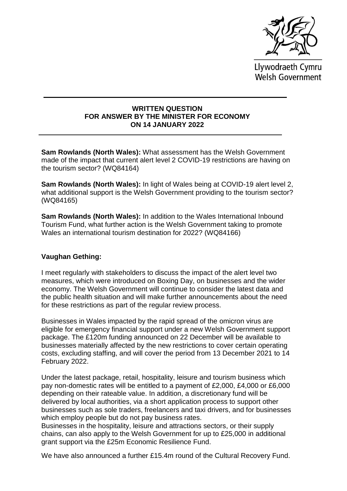

Llywodraeth Cymru **Welsh Government** 

## **WRITTEN QUESTION FOR ANSWER BY THE MINISTER FOR ECONOMY ON 14 JANUARY 2022**

**Sam Rowlands (North Wales):** What assessment has the Welsh Government made of the impact that current alert level 2 COVID-19 restrictions are having on the tourism sector? (WQ84164)

**Sam Rowlands (North Wales):** In light of Wales being at COVID-19 alert level 2, what additional support is the Welsh Government providing to the tourism sector? (WQ84165)

**Sam Rowlands (North Wales):** In addition to the Wales International Inbound Tourism Fund, what further action is the Welsh Government taking to promote Wales an international tourism destination for 2022? (WQ84166)

## **Vaughan Gething:**

I meet regularly with stakeholders to discuss the impact of the alert level two measures, which were introduced on Boxing Day, on businesses and the wider economy. The Welsh Government will continue to consider the latest data and the public health situation and will make further announcements about the need for these restrictions as part of the regular review process.

Businesses in Wales impacted by the rapid spread of the omicron virus are eligible for emergency financial support under a new Welsh Government support package. The £120m funding announced on 22 December will be available to businesses materially affected by the new restrictions to cover certain operating costs, excluding staffing, and will cover the period from 13 December 2021 to 14 February 2022.

Under the latest package, retail, hospitality, leisure and tourism business which pay non-domestic rates will be entitled to a payment of £2,000, £4,000 or £6,000 depending on their rateable value. In addition, a discretionary fund will be delivered by local authorities, via a short application process to support other businesses such as sole traders, freelancers and taxi drivers, and for businesses which employ people but do not pay business rates.

Businesses in the hospitality, leisure and attractions sectors, or their supply chains, can also apply to the Welsh Government for up to £25,000 in additional grant support via the £25m Economic Resilience Fund.

We have also announced a further £15.4m round of the Cultural Recovery Fund.